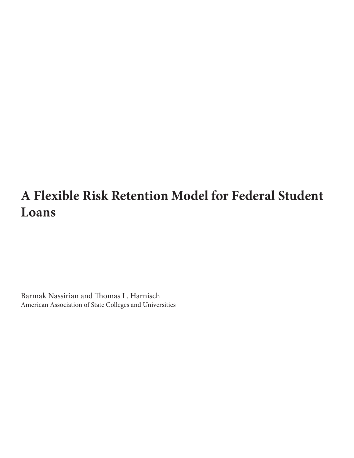# **A Flexible Risk Retention Model for Federal Student Loans**

Barmak Nassirian and Thomas L. Harnisch American Association of State Colleges and Universities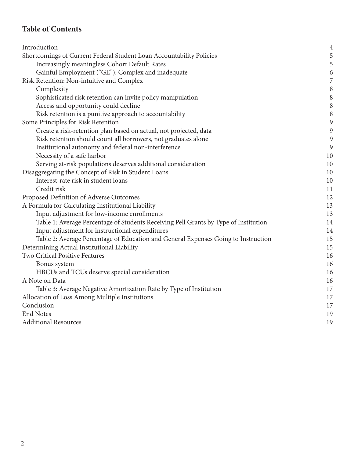# **Table of Contents**

| Introduction                                                                         | $\overline{4}$ |
|--------------------------------------------------------------------------------------|----------------|
| Shortcomings of Current Federal Student Loan Accountability Policies                 | 5              |
| Increasingly meaningless Cohort Default Rates                                        | 5              |
| Gainful Employment ("GE"): Complex and inadequate                                    | 6              |
| Risk Retention: Non-intuitive and Complex                                            | 7              |
| Complexity                                                                           | 8              |
| Sophisticated risk retention can invite policy manipulation                          | 8              |
| Access and opportunity could decline                                                 | 8              |
| Risk retention is a punitive approach to accountability                              | 8              |
| Some Principles for Risk Retention                                                   | 9              |
| Create a risk-retention plan based on actual, not projected, data                    | 9              |
| Risk retention should count all borrowers, not graduates alone                       | 9              |
| Institutional autonomy and federal non-interference                                  | 9              |
| Necessity of a safe harbor                                                           | 10             |
| Serving at-risk populations deserves additional consideration                        | 10             |
| Disaggregating the Concept of Risk in Student Loans                                  | 10             |
| Interest-rate risk in student loans                                                  | 10             |
| Credit risk                                                                          | 11             |
| Proposed Definition of Adverse Outcomes                                              | 12             |
| A Formula for Calculating Institutional Liability                                    | 13             |
| Input adjustment for low-income enrollments                                          | 13             |
| Table 1: Average Percentage of Students Receiving Pell Grants by Type of Institution | 14             |
| Input adjustment for instructional expenditures                                      | 14             |
| Table 2: Average Percentage of Education and General Expenses Going to Instruction   | 15             |
| Determining Actual Institutional Liability                                           | 15             |
| Two Critical Positive Features                                                       | 16             |
| Bonus system                                                                         | 16             |
| HBCUs and TCUs deserve special consideration                                         | 16             |
| A Note on Data                                                                       | 16             |
| Table 3: Average Negative Amortization Rate by Type of Institution                   | 17             |
| Allocation of Loss Among Multiple Institutions                                       | 17             |
| Conclusion                                                                           | 17             |
| <b>End Notes</b>                                                                     | 19             |
| <b>Additional Resources</b>                                                          | 19             |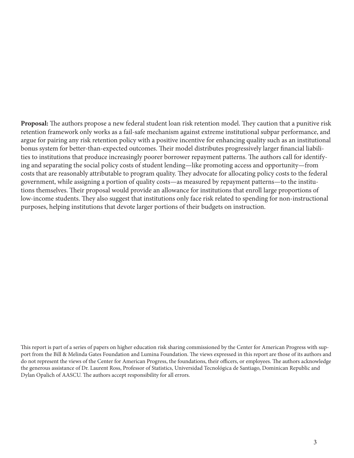**Proposal:** The authors propose a new federal student loan risk retention model. They caution that a punitive risk retention framework only works as a fail-safe mechanism against extreme institutional subpar performance, and argue for pairing any risk retention policy with a positive incentive for enhancing quality such as an institutional bonus system for better-than-expected outcomes. Their model distributes progressively larger financial liabilities to institutions that produce increasingly poorer borrower repayment patterns. The authors call for identifying and separating the social policy costs of student lending—like promoting access and opportunity—from costs that are reasonably attributable to program quality. They advocate for allocating policy costs to the federal government, while assigning a portion of quality costs—as measured by repayment patterns—to the institutions themselves. Their proposal would provide an allowance for institutions that enroll large proportions of low-income students. They also suggest that institutions only face risk related to spending for non-instructional purposes, helping institutions that devote larger portions of their budgets on instruction.

This report is part of a series of papers on higher education risk sharing commissioned by the Center for American Progress with support from the Bill & Melinda Gates Foundation and Lumina Foundation. The views expressed in this report are those of its authors and do not represent the views of the Center for American Progress, the foundations, their officers, or employees. The authors acknowledge the generous assistance of Dr. Laurent Ross, Professor of Statistics, Universidad Tecnológica de Santiago, Dominican Republic and Dylan Opalich of AASCU. The authors accept responsibility for all errors.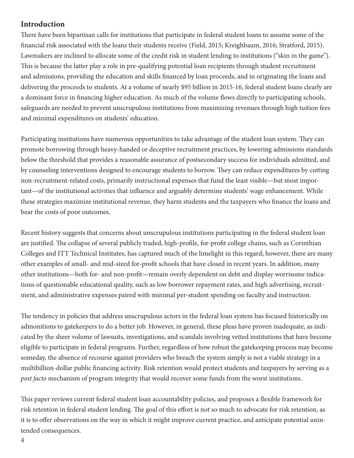# **Introduction**

There have been bipartisan calls for institutions that participate in federal student loans to assume some of the financial risk associated with the loans their students receive (Field, 2015; Kreighbaum, 2016; Stratford, 2015). Lawmakers are inclined to allocate some of the credit risk in student lending to institutions ("skin in the game"). This is because the latter play a role in pre-qualifying potential loan recipients through student recruitment and admissions, providing the education and skills financed by loan proceeds, and in originating the loans and delivering the proceeds to students. At a volume of nearly \$95 billion in 2015-16, federal student loans clearly are a dominant force in financing higher education. As much of the volume flows directly to participating schools, safeguards are needed to prevent unscrupulous institutions from maximizing revenues through high tuition fees and minimal expenditures on students' education.

Participating institutions have numerous opportunities to take advantage of the student loan system. They can promote borrowing through heavy-handed or deceptive recruitment practices, by lowering admissions standards below the threshold that provides a reasonable assurance of postsecondary success for individuals admitted, and by counseling interventions designed to encourage students to borrow. They can reduce expenditures by cutting non-recruitment-related costs, primarily instructional expenses that fund the least visible—but most important—of the institutional activities that influence and arguably determine students' wage enhancement. While these strategies maximize institutional revenue, they harm students and the taxpayers who finance the loans and bear the costs of poor outcomes.

Recent history suggests that concerns about unscrupulous institutions participating in the federal student loan are justified. The collapse of several publicly traded, high-profile, for-profit college chains, such as Corinthian Colleges and ITT Technical Institutes, has captured much of the limelight in this regard; however, there are many other examples of small- and mid-sized for-profit schools that have closed in recent years. In addition, many other institutions—both for- and non-profit—remain overly dependent on debt and display worrisome indications of questionable educational quality, such as low borrower repayment rates, and high advertising, recruitment, and administrative expenses paired with minimal per-student spending on faculty and instruction.

The tendency in policies that address unscrupulous actors in the federal loan system has focused historically on admonitions to gatekeepers to do a better job. However, in general, these pleas have proven inadequate, as indicated by the sheer volume of lawsuits, investigations, and scandals involving vetted institutions that have become eligible to participate in federal programs. Further, regardless of how robust the gatekeeping process may become someday, the absence of recourse against providers who breach the system simply is not a viable strategy in a multibillion-dollar public financing activity. Risk retention would protect students and taxpayers by serving as a *post facto* mechanism of program integrity that would recover some funds from the worst institutions.

This paper reviews current federal student loan accountability policies, and proposes a flexible framework for risk retention in federal student lending. The goal of this effort is not so much to advocate for risk retention, as it is to offer observations on the way in which it might improve current practice, and anticipate potential unintended consequences.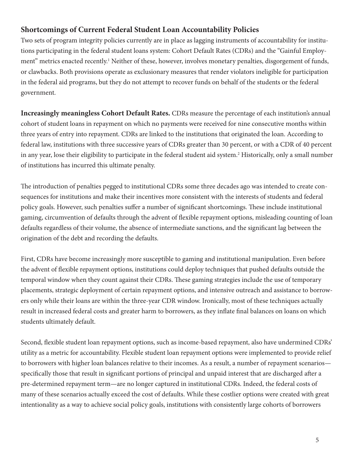# **Shortcomings of Current Federal Student Loan Accountability Policies**

Two sets of program integrity policies currently are in place as lagging instruments of accountability for institutions participating in the federal student loans system: Cohort Default Rates (CDRs) and the "Gainful Employment" metrics enacted recently.<sup>1</sup> Neither of these, however, involves monetary penalties, disgorgement of funds, or clawbacks. Both provisions operate as exclusionary measures that render violators ineligible for participation in the federal aid programs, but they do not attempt to recover funds on behalf of the students or the federal government.

**Increasingly meaningless Cohort Default Rates.** CDRs measure the percentage of each institution's annual cohort of student loans in repayment on which no payments were received for nine consecutive months within three years of entry into repayment. CDRs are linked to the institutions that originated the loan. According to federal law, institutions with three successive years of CDRs greater than 30 percent, or with a CDR of 40 percent in any year, lose their eligibility to participate in the federal student aid system.<sup>2</sup> Historically, only a small number of institutions has incurred this ultimate penalty.

The introduction of penalties pegged to institutional CDRs some three decades ago was intended to create consequences for institutions and make their incentives more consistent with the interests of students and federal policy goals. However, such penalties suffer a number of significant shortcomings. These include institutional gaming, circumvention of defaults through the advent of flexible repayment options, misleading counting of loan defaults regardless of their volume, the absence of intermediate sanctions, and the significant lag between the origination of the debt and recording the defaults.

First, CDRs have become increasingly more susceptible to gaming and institutional manipulation. Even before the advent of flexible repayment options, institutions could deploy techniques that pushed defaults outside the temporal window when they count against their CDRs. These gaming strategies include the use of temporary placements, strategic deployment of certain repayment options, and intensive outreach and assistance to borrowers only while their loans are within the three-year CDR window. Ironically, most of these techniques actually result in increased federal costs and greater harm to borrowers, as they inflate final balances on loans on which students ultimately default.

Second, flexible student loan repayment options, such as income-based repayment, also have undermined CDRs' utility as a metric for accountability. Flexible student loan repayment options were implemented to provide relief to borrowers with higher loan balances relative to their incomes. As a result, a number of repayment scenarios specifically those that result in significant portions of principal and unpaid interest that are discharged after a pre-determined repayment term—are no longer captured in institutional CDRs. Indeed, the federal costs of many of these scenarios actually exceed the cost of defaults. While these costlier options were created with great intentionality as a way to achieve social policy goals, institutions with consistently large cohorts of borrowers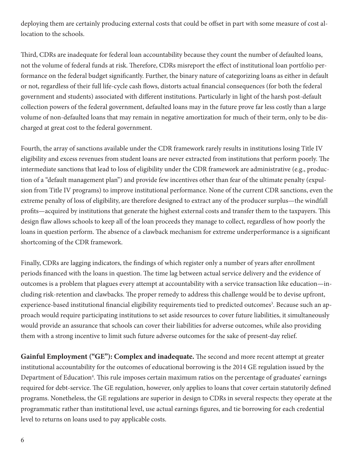deploying them are certainly producing external costs that could be offset in part with some measure of cost allocation to the schools.

Third, CDRs are inadequate for federal loan accountability because they count the number of defaulted loans, not the volume of federal funds at risk. Therefore, CDRs misreport the effect of institutional loan portfolio performance on the federal budget significantly. Further, the binary nature of categorizing loans as either in default or not, regardless of their full life-cycle cash flows, distorts actual financial consequences (for both the federal government and students) associated with different institutions. Particularly in light of the harsh post-default collection powers of the federal government, defaulted loans may in the future prove far less costly than a large volume of non-defaulted loans that may remain in negative amortization for much of their term, only to be discharged at great cost to the federal government.

Fourth, the array of sanctions available under the CDR framework rarely results in institutions losing Title IV eligibility and excess revenues from student loans are never extracted from institutions that perform poorly. The intermediate sanctions that lead to loss of eligibility under the CDR framework are administrative (e.g., production of a "default management plan") and provide few incentives other than fear of the ultimate penalty (expulsion from Title IV programs) to improve institutional performance. None of the current CDR sanctions, even the extreme penalty of loss of eligibility, are therefore designed to extract any of the producer surplus—the windfall profits—acquired by institutions that generate the highest external costs and transfer them to the taxpayers. This design flaw allows schools to keep all of the loan proceeds they manage to collect, regardless of how poorly the loans in question perform. The absence of a clawback mechanism for extreme underperformance is a significant shortcoming of the CDR framework.

Finally, CDRs are lagging indicators, the findings of which register only a number of years after enrollment periods financed with the loans in question. The time lag between actual service delivery and the evidence of outcomes is a problem that plagues every attempt at accountability with a service transaction like education—including risk-retention and clawbacks. The proper remedy to address this challenge would be to devise upfront, experience-based institutional financial eligibility requirements tied to predicted outcomes<sup>3</sup>. Because such an approach would require participating institutions to set aside resources to cover future liabilities, it simultaneously would provide an assurance that schools can cover their liabilities for adverse outcomes, while also providing them with a strong incentive to limit such future adverse outcomes for the sake of present-day relief.

**Gainful Employment ("GE"): Complex and inadequate.** The second and more recent attempt at greater institutional accountability for the outcomes of educational borrowing is the 2014 GE regulation issued by the Department of Education<sup>4</sup>. This rule imposes certain maximum ratios on the percentage of graduates' earnings required for debt-service. The GE regulation, however, only applies to loans that cover certain statutorily defined programs. Nonetheless, the GE regulations are superior in design to CDRs in several respects: they operate at the programmatic rather than institutional level, use actual earnings figures, and tie borrowing for each credential level to returns on loans used to pay applicable costs.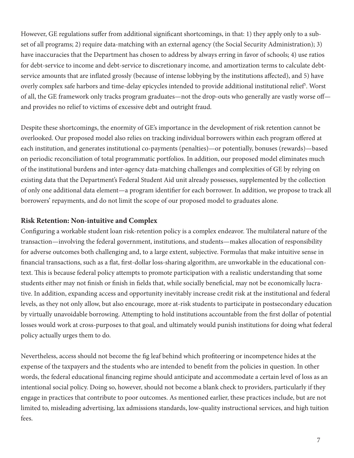However, GE regulations suffer from additional significant shortcomings, in that: 1) they apply only to a subset of all programs; 2) require data-matching with an external agency (the Social Security Administration); 3) have inaccuracies that the Department has chosen to address by always erring in favor of schools; 4) use ratios for debt-service to income and debt-service to discretionary income, and amortization terms to calculate debtservice amounts that are inflated grossly (because of intense lobbying by the institutions affected), and 5) have overly complex safe harbors and time-delay epicycles intended to provide additional institutional relief<sup>5</sup>. Worst of all, the GE framework only tracks program graduates—not the drop-outs who generally are vastly worse off and provides no relief to victims of excessive debt and outright fraud.

Despite these shortcomings, the enormity of GE's importance in the development of risk retention cannot be overlooked. Our proposed model also relies on tracking individual borrowers within each program offered at each institution, and generates institutional co-payments (penalties)—or potentially, bonuses (rewards)—based on periodic reconciliation of total programmatic portfolios. In addition, our proposed model eliminates much of the institutional burdens and inter-agency data-matching challenges and complexities of GE by relying on existing data that the Department's Federal Student Aid unit already possesses, supplemented by the collection of only one additional data element—a program identifier for each borrower. In addition, we propose to track all borrowers' repayments, and do not limit the scope of our proposed model to graduates alone.

#### **Risk Retention: Non-intuitive and Complex**

Configuring a workable student loan risk-retention policy is a complex endeavor. The multilateral nature of the transaction—involving the federal government, institutions, and students—makes allocation of responsibility for adverse outcomes both challenging and, to a large extent, subjective. Formulas that make intuitive sense in financial transactions, such as a flat, first-dollar loss-sharing algorithm, are unworkable in the educational context. This is because federal policy attempts to promote participation with a realistic understanding that some students either may not finish or finish in fields that, while socially beneficial, may not be economically lucrative. In addition, expanding access and opportunity inevitably increase credit risk at the institutional and federal levels, as they not only allow, but also encourage, more at-risk students to participate in postsecondary education by virtually unavoidable borrowing. Attempting to hold institutions accountable from the first dollar of potential losses would work at cross-purposes to that goal, and ultimately would punish institutions for doing what federal policy actually urges them to do.

Nevertheless, access should not become the fig leaf behind which profiteering or incompetence hides at the expense of the taxpayers and the students who are intended to benefit from the policies in question. In other words, the federal educational financing regime should anticipate and accommodate a certain level of loss as an intentional social policy. Doing so, however, should not become a blank check to providers, particularly if they engage in practices that contribute to poor outcomes. As mentioned earlier, these practices include, but are not limited to, misleading advertising, lax admissions standards, low-quality instructional services, and high tuition fees.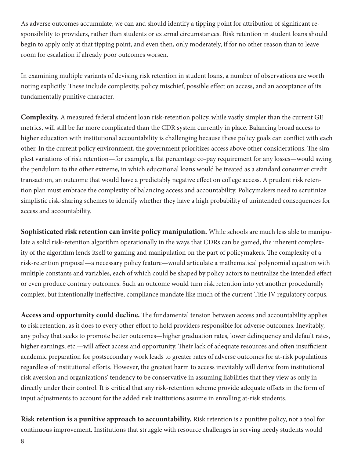As adverse outcomes accumulate, we can and should identify a tipping point for attribution of significant responsibility to providers, rather than students or external circumstances. Risk retention in student loans should begin to apply only at that tipping point, and even then, only moderately, if for no other reason than to leave room for escalation if already poor outcomes worsen.

In examining multiple variants of devising risk retention in student loans, a number of observations are worth noting explicitly. These include complexity, policy mischief, possible effect on access, and an acceptance of its fundamentally punitive character.

**Complexity.** A measured federal student loan risk-retention policy, while vastly simpler than the current GE metrics, will still be far more complicated than the CDR system currently in place. Balancing broad access to higher education with institutional accountability is challenging because these policy goals can conflict with each other. In the current policy environment, the government prioritizes access above other considerations. The simplest variations of risk retention—for example, a flat percentage co-pay requirement for any losses—would swing the pendulum to the other extreme, in which educational loans would be treated as a standard consumer credit transaction, an outcome that would have a predictably negative effect on college access. A prudent risk retention plan must embrace the complexity of balancing access and accountability. Policymakers need to scrutinize simplistic risk-sharing schemes to identify whether they have a high probability of unintended consequences for access and accountability.

**Sophisticated risk retention can invite policy manipulation.** While schools are much less able to manipulate a solid risk-retention algorithm operationally in the ways that CDRs can be gamed, the inherent complexity of the algorithm lends itself to gaming and manipulation on the part of policymakers. The complexity of a risk-retention proposal—a necessary policy feature—would articulate a mathematical polynomial equation with multiple constants and variables, each of which could be shaped by policy actors to neutralize the intended effect or even produce contrary outcomes. Such an outcome would turn risk retention into yet another procedurally complex, but intentionally ineffective, compliance mandate like much of the current Title IV regulatory corpus.

**Access and opportunity could decline.** The fundamental tension between access and accountability applies to risk retention, as it does to every other effort to hold providers responsible for adverse outcomes. Inevitably, any policy that seeks to promote better outcomes—higher graduation rates, lower delinquency and default rates, higher earnings, etc.—will affect access and opportunity. Their lack of adequate resources and often insufficient academic preparation for postsecondary work leads to greater rates of adverse outcomes for at-risk populations regardless of institutional efforts. However, the greatest harm to access inevitably will derive from institutional risk aversion and organizations' tendency to be conservative in assuming liabilities that they view as only indirectly under their control. It is critical that any risk-retention scheme provide adequate offsets in the form of input adjustments to account for the added risk institutions assume in enrolling at-risk students.

**Risk retention is a punitive approach to accountability.** Risk retention is a punitive policy, not a tool for continuous improvement. Institutions that struggle with resource challenges in serving needy students would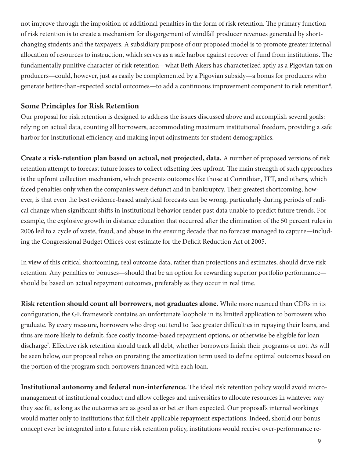not improve through the imposition of additional penalties in the form of risk retention. The primary function of risk retention is to create a mechanism for disgorgement of windfall producer revenues generated by shortchanging students and the taxpayers. A subsidiary purpose of our proposed model is to promote greater internal allocation of resources to instruction, which serves as a safe harbor against recover of fund from institutions. The fundamentally punitive character of risk retention—what Beth Akers has characterized aptly as a Pigovian tax on producers—could, however, just as easily be complemented by a Pigovian subsidy—a bonus for producers who generate better-than-expected social outcomes—to add a continuous improvement component to risk retention<sup>6</sup>.

## **Some Principles for Risk Retention**

Our proposal for risk retention is designed to address the issues discussed above and accomplish several goals: relying on actual data, counting all borrowers, accommodating maximum institutional freedom, providing a safe harbor for institutional efficiency, and making input adjustments for student demographics.

**Create a risk-retention plan based on actual, not projected, data.** A number of proposed versions of risk retention attempt to forecast future losses to collect offsetting fees upfront. The main strength of such approaches is the upfront collection mechanism, which prevents outcomes like those at Corinthian, ITT, and others, which faced penalties only when the companies were defunct and in bankruptcy. Their greatest shortcoming, however, is that even the best evidence-based analytical forecasts can be wrong, particularly during periods of radical change when significant shifts in institutional behavior render past data unable to predict future trends. For example, the explosive growth in distance education that occurred after the elimination of the 50 percent rules in 2006 led to a cycle of waste, fraud, and abuse in the ensuing decade that no forecast managed to capture—including the Congressional Budget Office's cost estimate for the Deficit Reduction Act of 2005.

In view of this critical shortcoming, real outcome data, rather than projections and estimates, should drive risk retention. Any penalties or bonuses—should that be an option for rewarding superior portfolio performance should be based on actual repayment outcomes, preferably as they occur in real time.

**Risk retention should count all borrowers, not graduates alone.** While more nuanced than CDRs in its configuration, the GE framework contains an unfortunate loophole in its limited application to borrowers who graduate. By every measure, borrowers who drop out tend to face greater difficulties in repaying their loans, and thus are more likely to default, face costly income-based repayment options, or otherwise be eligible for loan discharge<sup>7</sup>. Effective risk retention should track all debt, whether borrowers finish their programs or not. As will be seen below, our proposal relies on prorating the amortization term used to define optimal outcomes based on the portion of the program such borrowers financed with each loan.

**Institutional autonomy and federal non-interference.** The ideal risk retention policy would avoid micromanagement of institutional conduct and allow colleges and universities to allocate resources in whatever way they see fit, as long as the outcomes are as good as or better than expected. Our proposal's internal workings would matter only to institutions that fail their applicable repayment expectations. Indeed, should our bonus concept ever be integrated into a future risk retention policy, institutions would receive over-performance re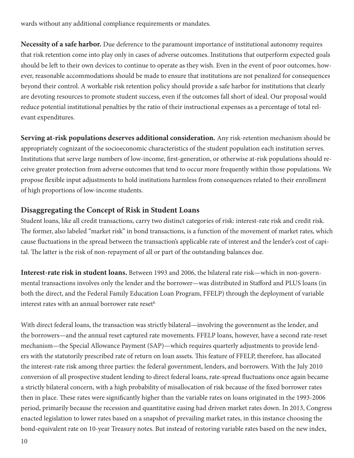wards without any additional compliance requirements or mandates.

**Necessity of a safe harbor.** Due deference to the paramount importance of institutional autonomy requires that risk retention come into play only in cases of adverse outcomes. Institutions that outperform expected goals should be left to their own devices to continue to operate as they wish. Even in the event of poor outcomes, however, reasonable accommodations should be made to ensure that institutions are not penalized for consequences beyond their control. A workable risk retention policy should provide a safe harbor for institutions that clearly are devoting resources to promote student success, even if the outcomes fall short of ideal. Our proposal would reduce potential institutional penalties by the ratio of their instructional expenses as a percentage of total relevant expenditures.

**Serving at-risk populations deserves additional consideration.** Any risk-retention mechanism should be appropriately cognizant of the socioeconomic characteristics of the student population each institution serves. Institutions that serve large numbers of low-income, first-generation, or otherwise at-risk populations should receive greater protection from adverse outcomes that tend to occur more frequently within those populations. We propose flexible input adjustments to hold institutions harmless from consequences related to their enrollment of high proportions of low-income students.

### **Disaggregating the Concept of Risk in Student Loans**

Student loans, like all credit transactions, carry two distinct categories of risk: interest-rate risk and credit risk. The former, also labeled "market risk" in bond transactions, is a function of the movement of market rates, which cause fluctuations in the spread between the transaction's applicable rate of interest and the lender's cost of capital. The latter is the risk of non-repayment of all or part of the outstanding balances due.

**Interest-rate risk in student loans.** Between 1993 and 2006, the bilateral rate risk—which in non-governmental transactions involves only the lender and the borrower—was distributed in Stafford and PLUS loans (in both the direct, and the Federal Family Education Loan Program, FFELP) through the deployment of variable interest rates with an annual borrower rate reset $8$ .

With direct federal loans, the transaction was strictly bilateral—involving the government as the lender, and the borrowers—and the annual reset captured rate movements. FFELP loans, however, have a second rate-reset mechanism—the Special Allowance Payment (SAP)—which requires quarterly adjustments to provide lenders with the statutorily prescribed rate of return on loan assets. This feature of FFELP, therefore, has allocated the interest-rate risk among three parties: the federal government, lenders, and borrowers. With the July 2010 conversion of all prospective student lending to direct federal loans, rate-spread fluctuations once again became a strictly bilateral concern, with a high probability of misallocation of risk because of the fixed borrower rates then in place. These rates were significantly higher than the variable rates on loans originated in the 1993-2006 period, primarily because the recession and quantitative easing had driven market rates down. In 2013, Congress enacted legislation to lower rates based on a snapshot of prevailing market rates, in this instance choosing the bond-equivalent rate on 10-year Treasury notes. But instead of restoring variable rates based on the new index,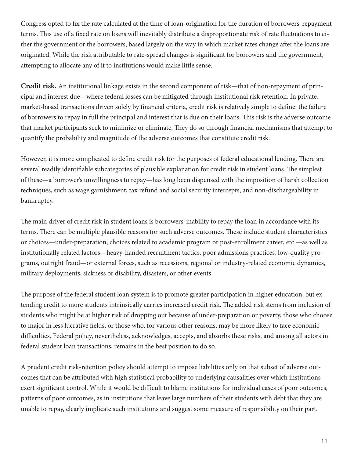Congress opted to fix the rate calculated at the time of loan-origination for the duration of borrowers' repayment terms. This use of a fixed rate on loans will inevitably distribute a disproportionate risk of rate fluctuations to either the government or the borrowers, based largely on the way in which market rates change after the loans are originated. While the risk attributable to rate-spread changes is significant for borrowers and the government, attempting to allocate any of it to institutions would make little sense.

**Credit risk.** An institutional linkage exists in the second component of risk—that of non-repayment of principal and interest due—where federal losses can be mitigated through institutional risk retention. In private, market-based transactions driven solely by financial criteria, credit risk is relatively simple to define: the failure of borrowers to repay in full the principal and interest that is due on their loans. This risk is the adverse outcome that market participants seek to minimize or eliminate. They do so through financial mechanisms that attempt to quantify the probability and magnitude of the adverse outcomes that constitute credit risk.

However, it is more complicated to define credit risk for the purposes of federal educational lending. There are several readily identifiable subcategories of plausible explanation for credit risk in student loans. The simplest of these—a borrower's unwillingness to repay—has long been dispensed with the imposition of harsh collection techniques, such as wage garnishment, tax refund and social security intercepts, and non-dischargeability in bankruptcy.

The main driver of credit risk in student loans is borrowers' inability to repay the loan in accordance with its terms. There can be multiple plausible reasons for such adverse outcomes. These include student characteristics or choices—under-preparation, choices related to academic program or post-enrollment career, etc.—as well as institutionally related factors—heavy-handed recruitment tactics, poor admissions practices, low-quality programs, outright fraud—or external forces, such as recessions, regional or industry-related economic dynamics, military deployments, sickness or disability, disasters, or other events.

The purpose of the federal student loan system is to promote greater participation in higher education, but extending credit to more students intrinsically carries increased credit risk. The added risk stems from inclusion of students who might be at higher risk of dropping out because of under-preparation or poverty, those who choose to major in less lucrative fields, or those who, for various other reasons, may be more likely to face economic difficulties. Federal policy, nevertheless, acknowledges, accepts, and absorbs these risks, and among all actors in federal student loan transactions, remains in the best position to do so.

A prudent credit risk-retention policy should attempt to impose liabilities only on that subset of adverse outcomes that can be attributed with high statistical probability to underlying causalities over which institutions exert significant control. While it would be difficult to blame institutions for individual cases of poor outcomes, patterns of poor outcomes, as in institutions that leave large numbers of their students with debt that they are unable to repay, clearly implicate such institutions and suggest some measure of responsibility on their part.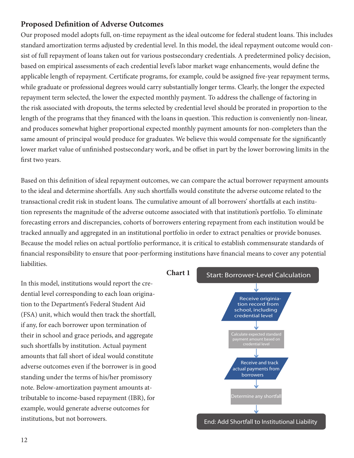# **Proposed Definition of Adverse Outcomes**

Our proposed model adopts full, on-time repayment as the ideal outcome for federal student loans. This includes standard amortization terms adjusted by credential level. In this model, the ideal repayment outcome would consist of full repayment of loans taken out for various postsecondary credentials. A predetermined policy decision, based on empirical assessments of each credential level's labor market wage enhancements, would define the applicable length of repayment. Certificate programs, for example, could be assigned five-year repayment terms, while graduate or professional degrees would carry substantially longer terms. Clearly, the longer the expected repayment term selected, the lower the expected monthly payment. To address the challenge of factoring in the risk associated with dropouts, the terms selected by credential level should be prorated in proportion to the length of the programs that they financed with the loans in question. This reduction is conveniently non-linear, and produces somewhat higher proportional expected monthly payment amounts for non-completers than the same amount of principal would produce for graduates. We believe this would compensate for the significantly lower market value of unfinished postsecondary work, and be offset in part by the lower borrowing limits in the first two years.

Based on this definition of ideal repayment outcomes, we can compare the actual borrower repayment amounts to the ideal and determine shortfalls. Any such shortfalls would constitute the adverse outcome related to the transactional credit risk in student loans. The cumulative amount of all borrowers' shortfalls at each institution represents the magnitude of the adverse outcome associated with that institution's portfolio. To eliminate forecasting errors and discrepancies, cohorts of borrowers entering repayment from each institution would be tracked annually and aggregated in an institutional portfolio in order to extract penalties or provide bonuses. Because the model relies on actual portfolio performance, it is critical to establish commensurate standards of financial responsibility to ensure that poor-performing institutions have financial means to cover any potential liabilities.

In this model, institutions would report the credential level corresponding to each loan origination to the Department's Federal Student Aid (FSA) unit, which would then track the shortfall, if any, for each borrower upon termination of their in school and grace periods, and aggregate such shortfalls by institution. Actual payment amounts that fall short of ideal would constitute adverse outcomes even if the borrower is in good standing under the terms of his/her promissory note. Below-amortization payment amounts attributable to income-based repayment (IBR), for example, would generate adverse outcomes for institutions, but not borrowers.

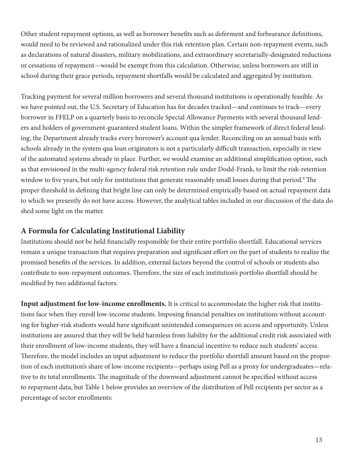Other student repayment options, as well as borrower benefits such as deferment and forbearance definitions, would need to be reviewed and rationalized under this risk retention plan. Certain non-repayment events, such as declarations of natural disasters, military mobilizations, and extraordinary secretarially-designated reductions or cessations of repayment—would be exempt from this calculation. Otherwise, unless borrowers are still in school during their grace periods, repayment shortfalls would be calculated and aggregated by institution.

Tracking payment for several million borrowers and several thousand institutions is operationally feasible. As we have pointed out, the U.S. Secretary of Education has for decades tracked—and continues to track—every borrower in FFELP on a quarterly basis to reconcile Special Allowance Payments with several thousand lenders and holders of government-guaranteed student loans. Within the simpler framework of direct federal lending, the Department already tracks every borrower's account qua lender. Reconciling on an annual basis with schools already in the system qua loan originators is not a particularly difficult transaction, especially in view of the automated systems already in place. Further, we would examine an additional simplification option, such as that envisioned in the multi-agency federal risk retention rule under Dodd-Frank, to limit the risk-retention window to five years, but only for institutions that generate reasonably small losses during that period.9 The proper threshold in defining that bright line can only be determined empirically based on actual repayment data to which we presently do not have access. However, the analytical tables included in our discussion of the data do shed some light on the matter.

#### **A Formula for Calculating Institutional Liability**

Institutions should not be held financially responsible for their entire portfolio shortfall. Educational services remain a unique transaction that requires preparation and significant effort on the part of students to realize the promised benefits of the services. In addition, external factors beyond the control of schools or students also contribute to non-repayment outcomes. Therefore, the size of each institution's portfolio shortfall should be modified by two additional factors.

**Input adjustment for low-income enrollments.** It is critical to accommodate the higher risk that institutions face when they enroll low-income students. Imposing financial penalties on institutions without accounting for higher-risk students would have significant unintended consequences on access and opportunity. Unless institutions are assured that they will be held harmless from liability for the additional credit risk associated with their enrollment of low-income students, they will have a financial incentive to reduce such students' access. Therefore, the model includes an input adjustment to reduce the portfolio shortfall amount based on the proportion of each institution's share of low-income recipients—perhaps using Pell as a proxy for undergraduates—relative to its total enrollments. The magnitude of the downward adjustment cannot be specified without access to repayment data, but Table 1 below provides an overview of the distribution of Pell recipients per sector as a percentage of sector enrollments: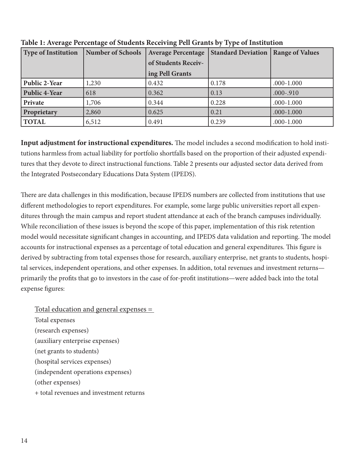| <b>Type of Institution</b> | <b>Number of Schools</b> | <b>Average Percentage</b> | <b>Standard Deviation</b> | <b>Range of Values</b> |
|----------------------------|--------------------------|---------------------------|---------------------------|------------------------|
|                            |                          | of Students Receiv-       |                           |                        |
|                            |                          | ing Pell Grants           |                           |                        |
| <b>Public 2-Year</b>       | 1,230                    | 0.432                     | 0.178                     | $.000 - 1.000$         |
| <b>Public 4-Year</b>       | 618                      | 0.362                     | 0.13                      | .000-.910              |
| Private                    | 1,706                    | 0.344                     | 0.228                     | $.000 - 1.000$         |
| Proprietary                | 2,860                    | 0.625                     | 0.21                      | $.000 - 1.000$         |
| <b>TOTAL</b>               | 6,512                    | 0.491                     | 0.239                     | $.000 - 1.000$         |

**Table 1: Average Percentage of Students Receiving Pell Grants by Type of Institution**

**Input adjustment for instructional expenditures.** The model includes a second modification to hold institutions harmless from actual liability for portfolio shortfalls based on the proportion of their adjusted expenditures that they devote to direct instructional functions. Table 2 presents our adjusted sector data derived from the Integrated Postsecondary Educations Data System (IPEDS).

There are data challenges in this modification, because IPEDS numbers are collected from institutions that use different methodologies to report expenditures. For example, some large public universities report all expenditures through the main campus and report student attendance at each of the branch campuses individually. While reconciliation of these issues is beyond the scope of this paper, implementation of this risk retention model would necessitate significant changes in accounting, and IPEDS data validation and reporting. The model accounts for instructional expenses as a percentage of total education and general expenditures. This figure is derived by subtracting from total expenses those for research, auxiliary enterprise, net grants to students, hospital services, independent operations, and other expenses. In addition, total revenues and investment returns primarily the profits that go to investors in the case of for-profit institutions—were added back into the total expense figures:

Total education and general expenses = Total expenses (research expenses) (auxiliary enterprise expenses) (net grants to students) (hospital services expenses) (independent operations expenses) (other expenses) + total revenues and investment returns

14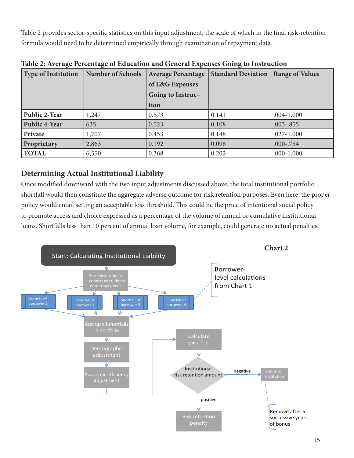Table 2 provides sector-specific statistics on this input adjustment, the scale of which in the final risk-retention formula would need to be determined empirically through examination of repayment data.

| <b>Type of Institution</b> | <b>Number of Schools</b> | <b>Average Percentage</b><br>of E&G Expenses | <b>Standard Deviation</b> | <b>Range of Values</b> |
|----------------------------|--------------------------|----------------------------------------------|---------------------------|------------------------|
|                            |                          | <b>Going to Instruc-</b>                     |                           |                        |
|                            |                          | tion                                         |                           |                        |
| <b>Public 2-Year</b>       | 1,247                    | 0.573                                        | 0.141                     | $.004 - 1.000$         |
| <b>Public 4-Year</b>       | 635                      | 0.523                                        | 0.108                     | $.003 - .855$          |
| Private                    | 1,707                    | 0.453                                        | 0.148                     | $.027 - 1.000$         |
| Proprietary                | 2,863                    | 0.192                                        | 0.098                     | .000-.754              |
| <b>TOTAL</b>               | 6,550                    | 0.368                                        | 0.202                     | $.000 - 1.000$         |

**Table 2: Average Percentage of Education and General Expenses Going to Instruction**

# **Determining Actual Institutional Liability**

Once modified downward with the two input adjustments discussed above, the total institutional portfolio shortfall would then constitute the aggregate adverse outcome for risk retention purposes. Even here, the proper policy would entail setting an acceptable loss threshold. This could be the price of intentional social policy to promote access and choice expressed as a percentage of the volume of annual or cumulative institutional loans. Shortfalls less than 10 percent of annual loan volume, for example, could generate no actual penalties.

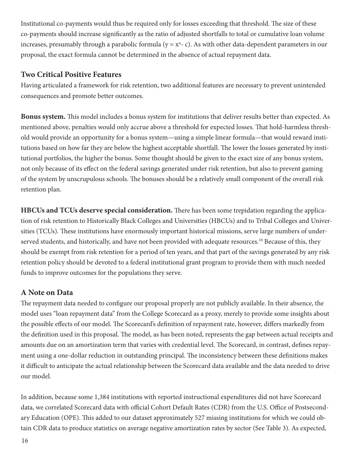Institutional co-payments would thus be required only for losses exceeding that threshold. The size of these co-payments should increase significantly as the ratio of adjusted shortfalls to total or cumulative loan volume increases, presumably through a parabolic formula ( $y = x<sup>n</sup> - c$ ). As with other data-dependent parameters in our proposal, the exact formula cannot be determined in the absence of actual repayment data.

#### **Two Critical Positive Features**

Having articulated a framework for risk retention, two additional features are necessary to prevent unintended consequences and promote better outcomes.

**Bonus system.** This model includes a bonus system for institutions that deliver results better than expected. As mentioned above, penalties would only accrue above a threshold for expected losses. That hold-harmless threshold would provide an opportunity for a bonus system—using a simple linear formula—that would reward institutions based on how far they are below the highest acceptable shortfall. The lower the losses generated by institutional portfolios, the higher the bonus. Some thought should be given to the exact size of any bonus system, not only because of its effect on the federal savings generated under risk retention, but also to prevent gaming of the system by unscrupulous schools. The bonuses should be a relatively small component of the overall risk retention plan.

**HBCUs and TCUs deserve special consideration.** There has been some trepidation regarding the application of risk retention to Historically Black Colleges and Universities (HBCUs) and to Tribal Colleges and Universities (TCUs). These institutions have enormously important historical missions, serve large numbers of underserved students, and historically, and have not been provided with adequate resources.<sup>10</sup> Because of this, they should be exempt from risk retention for a period of ten years, and that part of the savings generated by any risk retention policy should be devoted to a federal institutional grant program to provide them with much needed funds to improve outcomes for the populations they serve.

# **A Note on Data**

The repayment data needed to configure our proposal properly are not publicly available. In their absence, the model uses "loan repayment data" from the College Scorecard as a proxy, merely to provide some insights about the possible effects of our model. The Scorecard's definition of repayment rate, however, differs markedly from the definition used in this proposal. The model, as has been noted, represents the gap between actual receipts and amounts due on an amortization term that varies with credential level. The Scorecard, in contrast, defines repayment using a one-dollar reduction in outstanding principal. The inconsistency between these definitions makes it difficult to anticipate the actual relationship between the Scorecard data available and the data needed to drive our model.

In addition, because some 1,384 institutions with reported instructional expenditures did not have Scorecard data, we correlated Scorecard data with official Cohort Default Rates (CDR) from the U.S. Office of Postsecondary Education (OPE). This added to our dataset approximately 527 missing institutions for which we could obtain CDR data to produce statistics on average negative amortization rates by sector (See Table 3). As expected,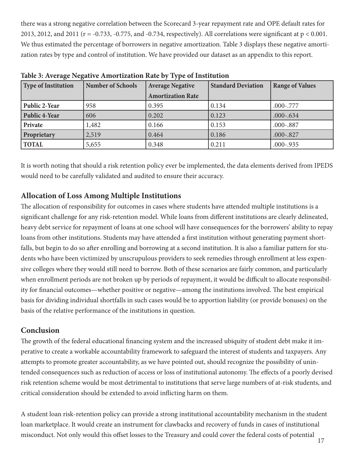there was a strong negative correlation between the Scorecard 3-year repayment rate and OPE default rates for 2013, 2012, and 2011 ( $r = -0.733$ ,  $-0.775$ , and  $-0.734$ , respectively). All correlations were significant at  $p < 0.001$ . We thus estimated the percentage of borrowers in negative amortization. Table 3 displays these negative amortization rates by type and control of institution. We have provided our dataset as an appendix to this report.

| <b>Type of Institution</b> | <b>Number of Schools</b> | <b>Average Negative</b>  | <b>Standard Deviation</b> | <b>Range of Values</b> |
|----------------------------|--------------------------|--------------------------|---------------------------|------------------------|
|                            |                          | <b>Amortization Rate</b> |                           |                        |
| <b>Public 2-Year</b>       | 958                      | 0.395                    | 0.134                     | .000-.777              |
| <b>Public 4-Year</b>       | 606                      | 0.202                    | 0.123                     | $.000 - 634$           |
| Private                    | 1,482                    | 0.166                    | 0.153                     | .000-.887              |
| Proprietary                | 2,519                    | 0.464                    | 0.186                     | .000-.827              |
| <b>TOTAL</b>               | 5,655                    | 0.348                    | 0.211                     | $.000 - .935$          |

**Table 3: Average Negative Amortization Rate by Type of Institution** 

It is worth noting that should a risk retention policy ever be implemented, the data elements derived from IPEDS would need to be carefully validated and audited to ensure their accuracy.

# **Allocation of Loss Among Multiple Institutions**

The allocation of responsibility for outcomes in cases where students have attended multiple institutions is a significant challenge for any risk-retention model. While loans from different institutions are clearly delineated, heavy debt service for repayment of loans at one school will have consequences for the borrowers' ability to repay loans from other institutions. Students may have attended a first institution without generating payment shortfalls, but begin to do so after enrolling and borrowing at a second institution. It is also a familiar pattern for students who have been victimized by unscrupulous providers to seek remedies through enrollment at less expensive colleges where they would still need to borrow. Both of these scenarios are fairly common, and particularly when enrollment periods are not broken up by periods of repayment, it would be difficult to allocate responsibility for financial outcomes—whether positive or negative—among the institutions involved. The best empirical basis for dividing individual shortfalls in such cases would be to apportion liability (or provide bonuses) on the basis of the relative performance of the institutions in question.

# **Conclusion**

The growth of the federal educational financing system and the increased ubiquity of student debt make it imperative to create a workable accountability framework to safeguard the interest of students and taxpayers. Any attempts to promote greater accountability, as we have pointed out, should recognize the possibility of unintended consequences such as reduction of access or loss of institutional autonomy. The effects of a poorly devised risk retention scheme would be most detrimental to institutions that serve large numbers of at-risk students, and critical consideration should be extended to avoid inflicting harm on them.

A student loan risk-retention policy can provide a strong institutional accountability mechanism in the student loan marketplace. It would create an instrument for clawbacks and recovery of funds in cases of institutional misconduct. Not only would this offset losses to the Treasury and could cover the federal costs of potential 17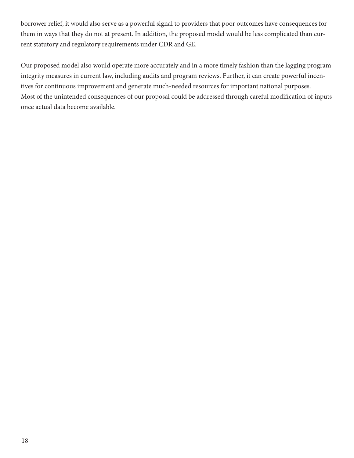borrower relief, it would also serve as a powerful signal to providers that poor outcomes have consequences for them in ways that they do not at present. In addition, the proposed model would be less complicated than current statutory and regulatory requirements under CDR and GE.

Our proposed model also would operate more accurately and in a more timely fashion than the lagging program integrity measures in current law, including audits and program reviews. Further, it can create powerful incentives for continuous improvement and generate much-needed resources for important national purposes. Most of the unintended consequences of our proposal could be addressed through careful modification of inputs once actual data become available.